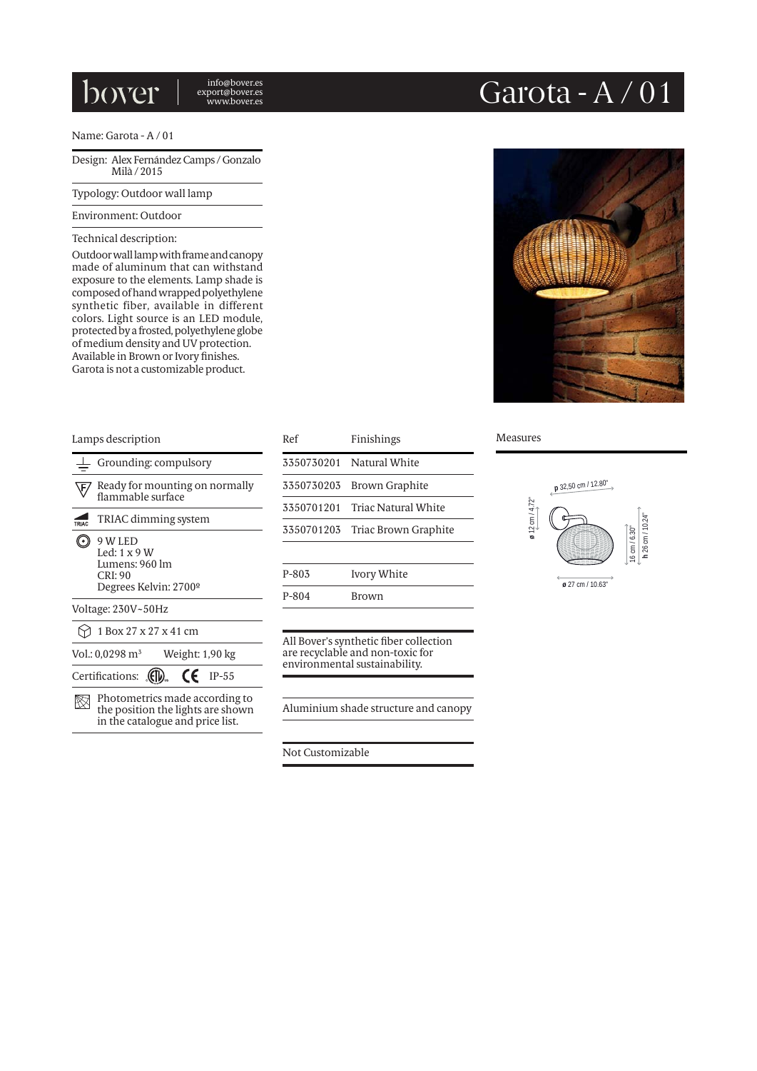## bover

info@bover.es export@bover.es

### Name: Garota - A / 01

Design: Alex Fernández Camps / Gonzalo Milà / 2015

Typology: Outdoor wall lamp

#### Environment: Outdoor

#### Technical description:

Outdoor wall lamp with frame and canopy made of aluminum that can withstand exposure to the elements. Lamp shade is composed of hand wrapped polyethylene synthetic fiber, available in different colors. Light source is an LED module, protected by a frosted, polyethylene globe of medium density and UV protection. Available in Brown or Ivory finishes. Garota is not a customizable product.

# Garota - A / 01



### Grounding: compulsory  $\sqrt{F}$  Ready for mounting on normally flammable surface TRIAC dimming system 9 W LED Led: 1 x 9 W Lumens: 960 lm CRI: 90 Degrees Kelvin: 2700º Voltage: 230V~50Hz  $\bigcirc$  1 Box 27 x 27 x 41 cm Vol.: 0,0298 m3 Weight: 1,90 kg Certifications:  $\overline{\mathbb{Q}}$   $\overline{\mathbb{C}}$  IP-55  $\boxtimes$  Photometrics made according to the position the lights are shown in the catalogue and price list.

| Lamps description                                          |                      | Ref        | Finishings                      | <b>Measures</b> |
|------------------------------------------------------------|----------------------|------------|---------------------------------|-----------------|
| Grounding: compulsory                                      |                      |            | 3350730201 Natural White        |                 |
| Ready for mounting on normally<br>\F,<br>flammable surface |                      | 3350730203 | Brown Graphite                  |                 |
|                                                            |                      | 3350701201 | Triac Natural White             |                 |
| TRIAC                                                      | TRIAC dimming system |            | 3350701203 Triac Brown Graphite | $12$ cm $/4.72$ |
| 9 W LED<br>((∙)<br>Led: $1 \times 9$ W                     |                      |            |                                 | ø               |
| Lumens: 960 lm<br>CRI:90                                   |                      | $P-803$    | Ivory White                     |                 |
| Degrees Kelvin: 2700°                                      |                      | $P - 804$  | <b>Brown</b>                    |                 |
| Voltage: 230V~50Hz                                         |                      |            |                                 |                 |

All Bover's synthetic fiber collection are recyclable and non-toxic for environmental sustainability.

Aluminium shade structure and canopy

Not Customizable